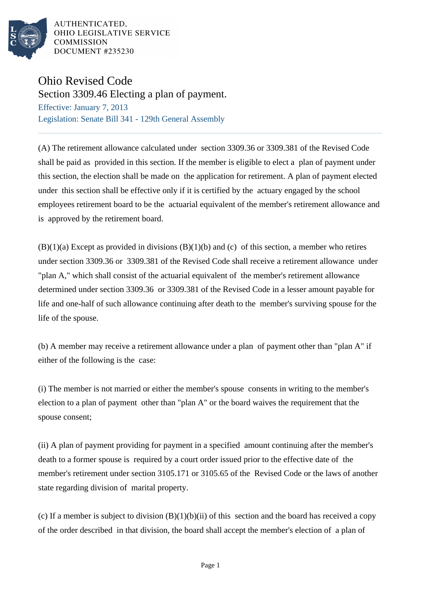

## Ohio Revised Code

Section 3309.46 Electing a plan of payment.

Effective: January 7, 2013 Legislation: Senate Bill 341 - 129th General Assembly

(A) The retirement allowance calculated under section 3309.36 or 3309.381 of the Revised Code shall be paid as provided in this section. If the member is eligible to elect a plan of payment under this section, the election shall be made on the application for retirement. A plan of payment elected under this section shall be effective only if it is certified by the actuary engaged by the school employees retirement board to be the actuarial equivalent of the member's retirement allowance and is approved by the retirement board.

 $(B)(1)(a)$  Except as provided in divisions  $(B)(1)(b)$  and (c) of this section, a member who retires under section 3309.36 or 3309.381 of the Revised Code shall receive a retirement allowance under "plan A," which shall consist of the actuarial equivalent of the member's retirement allowance determined under section 3309.36 or 3309.381 of the Revised Code in a lesser amount payable for life and one-half of such allowance continuing after death to the member's surviving spouse for the life of the spouse.

(b) A member may receive a retirement allowance under a plan of payment other than "plan A" if either of the following is the case:

(i) The member is not married or either the member's spouse consents in writing to the member's election to a plan of payment other than "plan A" or the board waives the requirement that the spouse consent;

(ii) A plan of payment providing for payment in a specified amount continuing after the member's death to a former spouse is required by a court order issued prior to the effective date of the member's retirement under section 3105.171 or 3105.65 of the Revised Code or the laws of another state regarding division of marital property.

(c) If a member is subject to division  $(B)(1)(b)(ii)$  of this section and the board has received a copy of the order described in that division, the board shall accept the member's election of a plan of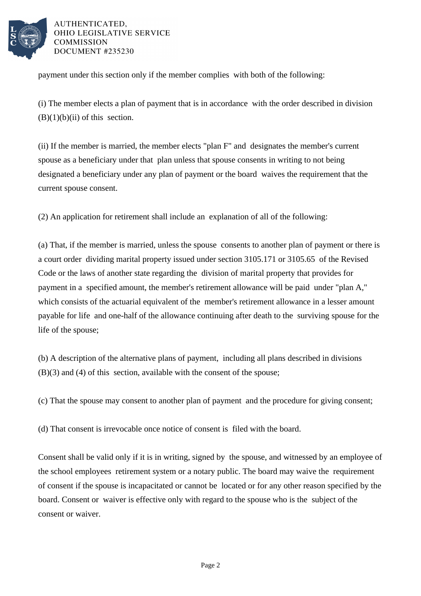

payment under this section only if the member complies with both of the following:

(i) The member elects a plan of payment that is in accordance with the order described in division  $(B)(1)(b)(ii)$  of this section.

(ii) If the member is married, the member elects "plan F" and designates the member's current spouse as a beneficiary under that plan unless that spouse consents in writing to not being designated a beneficiary under any plan of payment or the board waives the requirement that the current spouse consent.

(2) An application for retirement shall include an explanation of all of the following:

(a) That, if the member is married, unless the spouse consents to another plan of payment or there is a court order dividing marital property issued under section 3105.171 or 3105.65 of the Revised Code or the laws of another state regarding the division of marital property that provides for payment in a specified amount, the member's retirement allowance will be paid under "plan A," which consists of the actuarial equivalent of the member's retirement allowance in a lesser amount payable for life and one-half of the allowance continuing after death to the surviving spouse for the life of the spouse;

(b) A description of the alternative plans of payment, including all plans described in divisions (B)(3) and (4) of this section, available with the consent of the spouse;

(c) That the spouse may consent to another plan of payment and the procedure for giving consent;

(d) That consent is irrevocable once notice of consent is filed with the board.

Consent shall be valid only if it is in writing, signed by the spouse, and witnessed by an employee of the school employees retirement system or a notary public. The board may waive the requirement of consent if the spouse is incapacitated or cannot be located or for any other reason specified by the board. Consent or waiver is effective only with regard to the spouse who is the subject of the consent or waiver.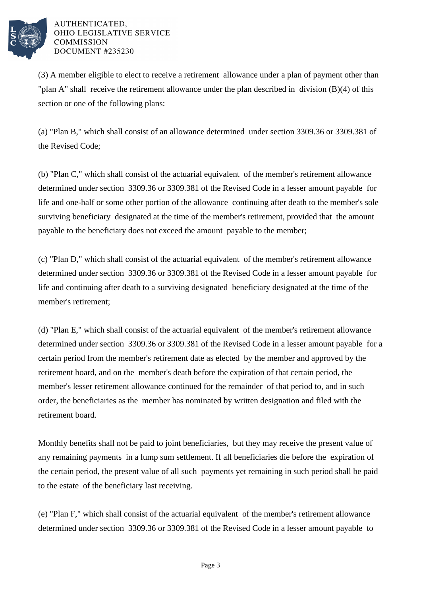

(3) A member eligible to elect to receive a retirement allowance under a plan of payment other than "plan A" shall receive the retirement allowance under the plan described in division (B)(4) of this section or one of the following plans:

(a) "Plan B," which shall consist of an allowance determined under section 3309.36 or 3309.381 of the Revised Code;

(b) "Plan C," which shall consist of the actuarial equivalent of the member's retirement allowance determined under section 3309.36 or 3309.381 of the Revised Code in a lesser amount payable for life and one-half or some other portion of the allowance continuing after death to the member's sole surviving beneficiary designated at the time of the member's retirement, provided that the amount payable to the beneficiary does not exceed the amount payable to the member;

(c) "Plan D," which shall consist of the actuarial equivalent of the member's retirement allowance determined under section 3309.36 or 3309.381 of the Revised Code in a lesser amount payable for life and continuing after death to a surviving designated beneficiary designated at the time of the member's retirement;

(d) "Plan E," which shall consist of the actuarial equivalent of the member's retirement allowance determined under section 3309.36 or 3309.381 of the Revised Code in a lesser amount payable for a certain period from the member's retirement date as elected by the member and approved by the retirement board, and on the member's death before the expiration of that certain period, the member's lesser retirement allowance continued for the remainder of that period to, and in such order, the beneficiaries as the member has nominated by written designation and filed with the retirement board.

Monthly benefits shall not be paid to joint beneficiaries, but they may receive the present value of any remaining payments in a lump sum settlement. If all beneficiaries die before the expiration of the certain period, the present value of all such payments yet remaining in such period shall be paid to the estate of the beneficiary last receiving.

(e) "Plan F," which shall consist of the actuarial equivalent of the member's retirement allowance determined under section 3309.36 or 3309.381 of the Revised Code in a lesser amount payable to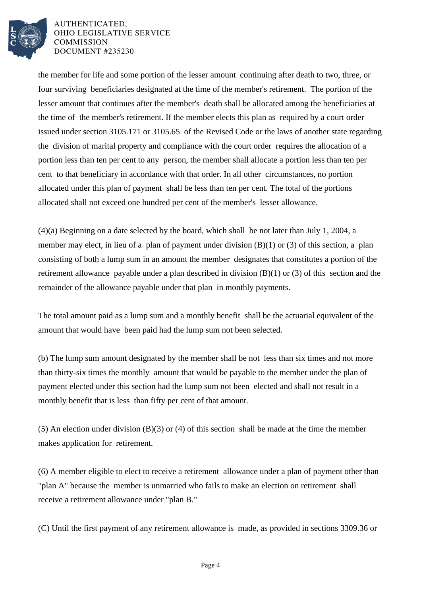

the member for life and some portion of the lesser amount continuing after death to two, three, or four surviving beneficiaries designated at the time of the member's retirement. The portion of the lesser amount that continues after the member's death shall be allocated among the beneficiaries at the time of the member's retirement. If the member elects this plan as required by a court order issued under section 3105.171 or 3105.65 of the Revised Code or the laws of another state regarding the division of marital property and compliance with the court order requires the allocation of a portion less than ten per cent to any person, the member shall allocate a portion less than ten per cent to that beneficiary in accordance with that order. In all other circumstances, no portion allocated under this plan of payment shall be less than ten per cent. The total of the portions allocated shall not exceed one hundred per cent of the member's lesser allowance.

(4)(a) Beginning on a date selected by the board, which shall be not later than July 1, 2004, a member may elect, in lieu of a plan of payment under division (B)(1) or (3) of this section, a plan consisting of both a lump sum in an amount the member designates that constitutes a portion of the retirement allowance payable under a plan described in division (B)(1) or (3) of this section and the remainder of the allowance payable under that plan in monthly payments.

The total amount paid as a lump sum and a monthly benefit shall be the actuarial equivalent of the amount that would have been paid had the lump sum not been selected.

(b) The lump sum amount designated by the member shall be not less than six times and not more than thirty-six times the monthly amount that would be payable to the member under the plan of payment elected under this section had the lump sum not been elected and shall not result in a monthly benefit that is less than fifty per cent of that amount.

(5) An election under division (B)(3) or (4) of this section shall be made at the time the member makes application for retirement.

(6) A member eligible to elect to receive a retirement allowance under a plan of payment other than "plan A" because the member is unmarried who fails to make an election on retirement shall receive a retirement allowance under "plan B."

(C) Until the first payment of any retirement allowance is made, as provided in sections 3309.36 or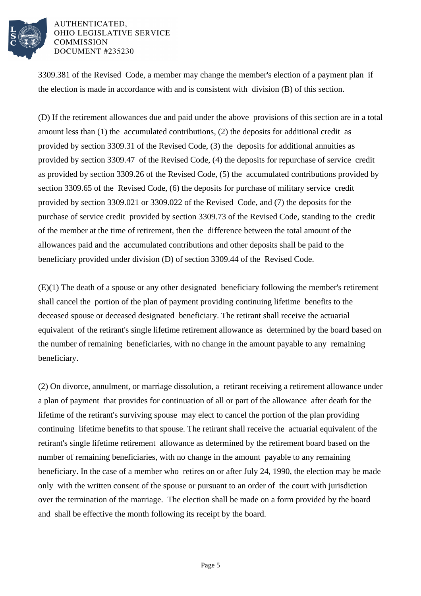

3309.381 of the Revised Code, a member may change the member's election of a payment plan if the election is made in accordance with and is consistent with division (B) of this section.

(D) If the retirement allowances due and paid under the above provisions of this section are in a total amount less than (1) the accumulated contributions, (2) the deposits for additional credit as provided by section 3309.31 of the Revised Code, (3) the deposits for additional annuities as provided by section 3309.47 of the Revised Code, (4) the deposits for repurchase of service credit as provided by section 3309.26 of the Revised Code, (5) the accumulated contributions provided by section 3309.65 of the Revised Code, (6) the deposits for purchase of military service credit provided by section 3309.021 or 3309.022 of the Revised Code, and (7) the deposits for the purchase of service credit provided by section 3309.73 of the Revised Code, standing to the credit of the member at the time of retirement, then the difference between the total amount of the allowances paid and the accumulated contributions and other deposits shall be paid to the beneficiary provided under division (D) of section 3309.44 of the Revised Code.

(E)(1) The death of a spouse or any other designated beneficiary following the member's retirement shall cancel the portion of the plan of payment providing continuing lifetime benefits to the deceased spouse or deceased designated beneficiary. The retirant shall receive the actuarial equivalent of the retirant's single lifetime retirement allowance as determined by the board based on the number of remaining beneficiaries, with no change in the amount payable to any remaining beneficiary.

(2) On divorce, annulment, or marriage dissolution, a retirant receiving a retirement allowance under a plan of payment that provides for continuation of all or part of the allowance after death for the lifetime of the retirant's surviving spouse may elect to cancel the portion of the plan providing continuing lifetime benefits to that spouse. The retirant shall receive the actuarial equivalent of the retirant's single lifetime retirement allowance as determined by the retirement board based on the number of remaining beneficiaries, with no change in the amount payable to any remaining beneficiary. In the case of a member who retires on or after July 24, 1990, the election may be made only with the written consent of the spouse or pursuant to an order of the court with jurisdiction over the termination of the marriage. The election shall be made on a form provided by the board and shall be effective the month following its receipt by the board.